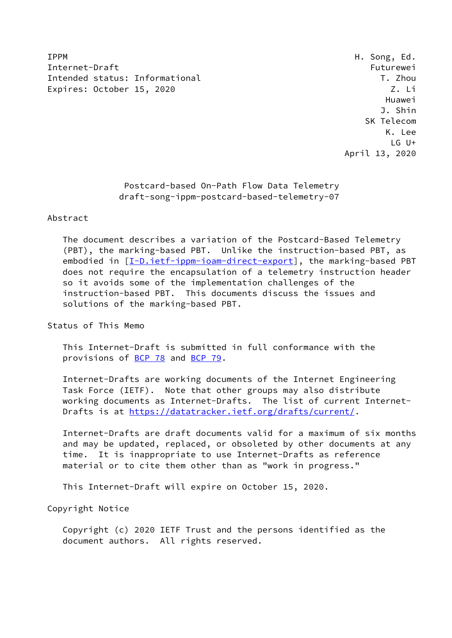IPPM H. Song, Ed. Internet-Draft Futurewei Intended status: Informational T. Zhou Expires: October 15, 2020 Z. Li

 Huawei J. Shin SK Telecom K. Lee LG U+ April 13, 2020

> Postcard-based On-Path Flow Data Telemetry draft-song-ippm-postcard-based-telemetry-07

## Abstract

 The document describes a variation of the Postcard-Based Telemetry (PBT), the marking-based PBT. Unlike the instruction-based PBT, as embodied in  $[I-D.iett-ippm-ioam-direct-export]$ , the marking-based PBT does not require the encapsulation of a telemetry instruction header so it avoids some of the implementation challenges of the instruction-based PBT. This documents discuss the issues and solutions of the marking-based PBT.

Status of This Memo

 This Internet-Draft is submitted in full conformance with the provisions of [BCP 78](https://datatracker.ietf.org/doc/pdf/bcp78) and [BCP 79](https://datatracker.ietf.org/doc/pdf/bcp79).

 Internet-Drafts are working documents of the Internet Engineering Task Force (IETF). Note that other groups may also distribute working documents as Internet-Drafts. The list of current Internet- Drafts is at<https://datatracker.ietf.org/drafts/current/>.

 Internet-Drafts are draft documents valid for a maximum of six months and may be updated, replaced, or obsoleted by other documents at any time. It is inappropriate to use Internet-Drafts as reference material or to cite them other than as "work in progress."

This Internet-Draft will expire on October 15, 2020.

Copyright Notice

 Copyright (c) 2020 IETF Trust and the persons identified as the document authors. All rights reserved.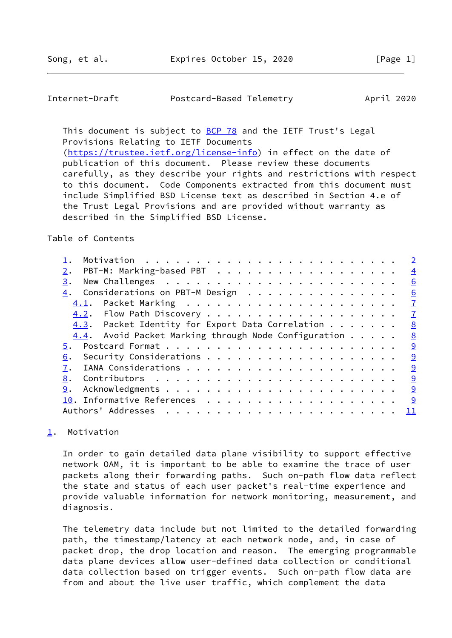## <span id="page-1-1"></span>Internet-Draft Postcard-Based Telemetry April 2020

This document is subject to [BCP 78](https://datatracker.ietf.org/doc/pdf/bcp78) and the IETF Trust's Legal Provisions Relating to IETF Documents [\(https://trustee.ietf.org/license-info](https://trustee.ietf.org/license-info)) in effect on the date of publication of this document. Please review these documents

 carefully, as they describe your rights and restrictions with respect to this document. Code Components extracted from this document must include Simplified BSD License text as described in Section 4.e of the Trust Legal Provisions and are provided without warranty as described in the Simplified BSD License.

## Table of Contents

|                                                         | $\overline{2}$ |
|---------------------------------------------------------|----------------|
| PBT-M: Marking-based PBT<br>2.                          | $\overline{4}$ |
| 3.                                                      | 6              |
| 4. Considerations on PBT-M Design                       | <u>6</u>       |
| 4.1.                                                    | $\mathbf I$    |
|                                                         | $\mathbf{Z}$   |
| 4.3. Packet Identity for Export Data Correlation        | 8              |
| $4.4$ . Avoid Packet Marking through Node Configuration | 8              |
| 5.                                                      | 9              |
| 6.                                                      | 9              |
|                                                         | 9              |
| 8.                                                      | 9              |
| 9.                                                      | 9              |
|                                                         | <u> ୨</u>      |
| Authors' Addresses                                      | 11             |
|                                                         |                |

# <span id="page-1-0"></span>[1](#page-1-0). Motivation

 In order to gain detailed data plane visibility to support effective network OAM, it is important to be able to examine the trace of user packets along their forwarding paths. Such on-path flow data reflect the state and status of each user packet's real-time experience and provide valuable information for network monitoring, measurement, and diagnosis.

 The telemetry data include but not limited to the detailed forwarding path, the timestamp/latency at each network node, and, in case of packet drop, the drop location and reason. The emerging programmable data plane devices allow user-defined data collection or conditional data collection based on trigger events. Such on-path flow data are from and about the live user traffic, which complement the data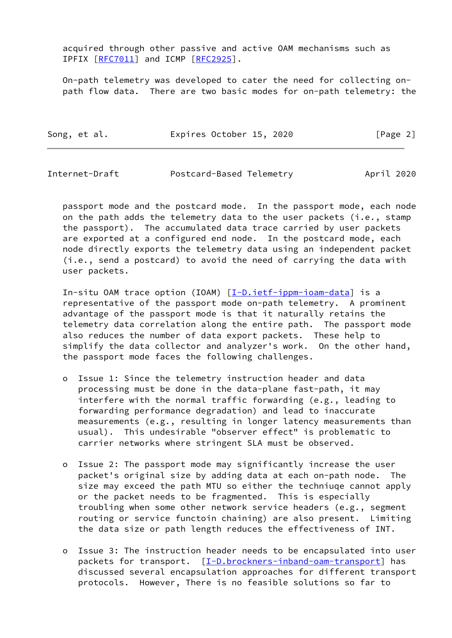acquired through other passive and active OAM mechanisms such as IPFIX [[RFC7011](https://datatracker.ietf.org/doc/pdf/rfc7011)] and ICMP [\[RFC2925](https://datatracker.ietf.org/doc/pdf/rfc2925)].

 On-path telemetry was developed to cater the need for collecting on path flow data. There are two basic modes for on-path telemetry: the

| Song, et al. | Expires October 15, 2020 | [Page 2] |
|--------------|--------------------------|----------|
|--------------|--------------------------|----------|

| Internet-Draft<br>Postcard-Based Telemetry | April 2020 |  |
|--------------------------------------------|------------|--|
|--------------------------------------------|------------|--|

 passport mode and the postcard mode. In the passport mode, each node on the path adds the telemetry data to the user packets (i.e., stamp the passport). The accumulated data trace carried by user packets are exported at a configured end node. In the postcard mode, each node directly exports the telemetry data using an independent packet (i.e., send a postcard) to avoid the need of carrying the data with user packets.

 In-situ OAM trace option (IOAM) [\[I-D.ietf-ippm-ioam-data](#page-10-1)] is a representative of the passport mode on-path telemetry. A prominent advantage of the passport mode is that it naturally retains the telemetry data correlation along the entire path. The passport mode also reduces the number of data export packets. These help to simplify the data collector and analyzer's work. On the other hand, the passport mode faces the following challenges.

- o Issue 1: Since the telemetry instruction header and data processing must be done in the data-plane fast-path, it may interfere with the normal traffic forwarding (e.g., leading to forwarding performance degradation) and lead to inaccurate measurements (e.g., resulting in longer latency measurements than usual). This undesirable "observer effect" is problematic to carrier networks where stringent SLA must be observed.
- o Issue 2: The passport mode may significantly increase the user packet's original size by adding data at each on-path node. The size may exceed the path MTU so either the techniuqe cannot apply or the packet needs to be fragmented. This is especially troubling when some other network service headers (e.g., segment routing or service functoin chaining) are also present. Limiting the data size or path length reduces the effectiveness of INT.
- o Issue 3: The instruction header needs to be encapsulated into user packets for transport. [[I-D.brockners-inband-oam-transport\]](#page-10-2) has discussed several encapsulation approaches for different transport protocols. However, There is no feasible solutions so far to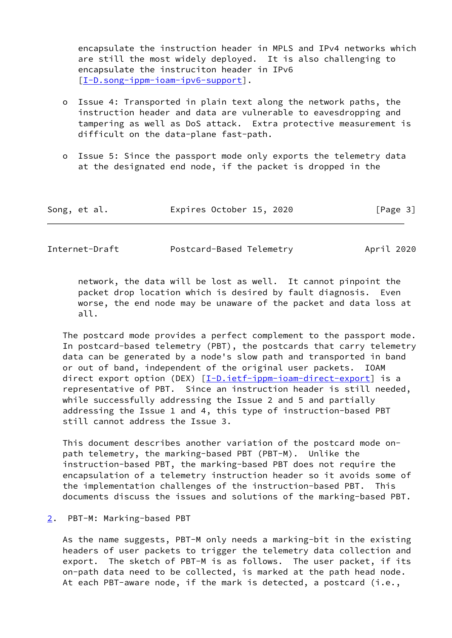encapsulate the instruction header in MPLS and IPv4 networks which are still the most widely deployed. It is also challenging to encapsulate the instruciton header in IPv6 [[I-D.song-ippm-ioam-ipv6-support\]](#page-10-3).

- o Issue 4: Transported in plain text along the network paths, the instruction header and data are vulnerable to eavesdropping and tampering as well as DoS attack. Extra protective measurement is difficult on the data-plane fast-path.
- o Issue 5: Since the passport mode only exports the telemetry data at the designated end node, if the packet is dropped in the

| Song, et al. | Expires October 15, 2020 | [Page 3] |
|--------------|--------------------------|----------|
|--------------|--------------------------|----------|

<span id="page-3-1"></span>Internet-Draft Postcard-Based Telemetry April 2020

 network, the data will be lost as well. It cannot pinpoint the packet drop location which is desired by fault diagnosis. Even worse, the end node may be unaware of the packet and data loss at all.

 The postcard mode provides a perfect complement to the passport mode. In postcard-based telemetry (PBT), the postcards that carry telemetry data can be generated by a node's slow path and transported in band or out of band, independent of the original user packets. IOAM direct export option (DEX) [[I-D.ietf-ippm-ioam-direct-export\]](#page-10-0) is a representative of PBT. Since an instruction header is still needed, while successfully addressing the Issue 2 and 5 and partially addressing the Issue 1 and 4, this type of instruction-based PBT still cannot address the Issue 3.

 This document describes another variation of the postcard mode on path telemetry, the marking-based PBT (PBT-M). Unlike the instruction-based PBT, the marking-based PBT does not require the encapsulation of a telemetry instruction header so it avoids some of the implementation challenges of the instruction-based PBT. This documents discuss the issues and solutions of the marking-based PBT.

#### <span id="page-3-0"></span>[2](#page-3-0). PBT-M: Marking-based PBT

 As the name suggests, PBT-M only needs a marking-bit in the existing headers of user packets to trigger the telemetry data collection and export. The sketch of PBT-M is as follows. The user packet, if its on-path data need to be collected, is marked at the path head node. At each PBT-aware node, if the mark is detected, a postcard (i.e.,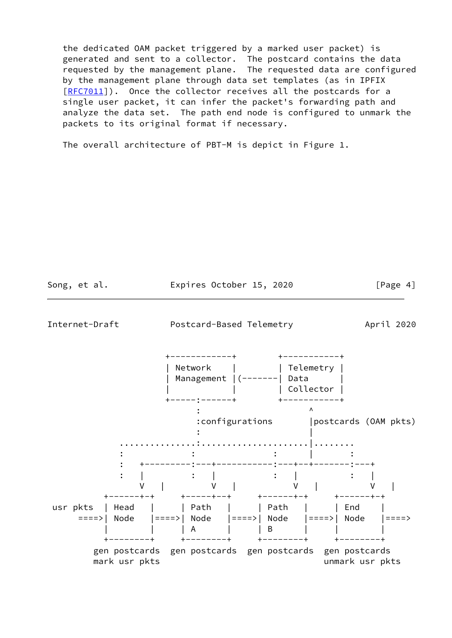the dedicated OAM packet triggered by a marked user packet) is generated and sent to a collector. The postcard contains the data requested by the management plane. The requested data are configured by the management plane through data set templates (as in IPFIX [\[RFC7011](https://datatracker.ietf.org/doc/pdf/rfc7011)]). Once the collector receives all the postcards for a single user packet, it can infer the packet's forwarding path and analyze the data set. The path end node is configured to unmark the packets to its original format if necessary.

The overall architecture of PBT-M is depict in Figure 1.

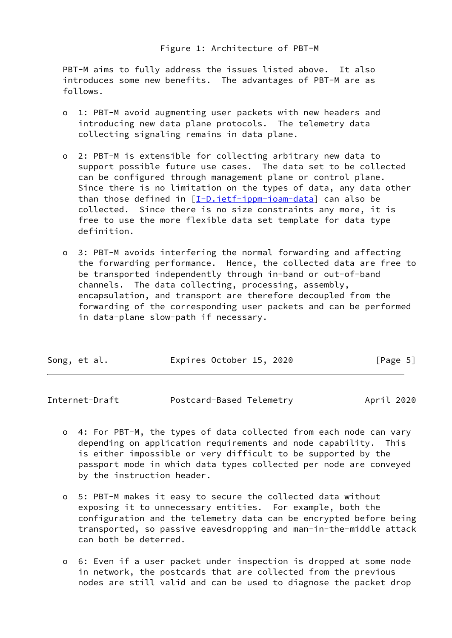PBT-M aims to fully address the issues listed above. It also introduces some new benefits. The advantages of PBT-M are as follows.

- o 1: PBT-M avoid augmenting user packets with new headers and introducing new data plane protocols. The telemetry data collecting signaling remains in data plane.
- o 2: PBT-M is extensible for collecting arbitrary new data to support possible future use cases. The data set to be collected can be configured through management plane or control plane. Since there is no limitation on the types of data, any data other than those defined in  $[I-D.iett-ippm-ioam-data]$  can also be collected. Since there is no size constraints any more, it is free to use the more flexible data set template for data type definition.
- o 3: PBT-M avoids interfering the normal forwarding and affecting the forwarding performance. Hence, the collected data are free to be transported independently through in-band or out-of-band channels. The data collecting, processing, assembly, encapsulation, and transport are therefore decoupled from the forwarding of the corresponding user packets and can be performed in data-plane slow-path if necessary.

| Song, et al. | Expires October 15, 2020 |  | [Page 5] |  |
|--------------|--------------------------|--|----------|--|
|              |                          |  |          |  |

<span id="page-5-0"></span>Internet-Draft Postcard-Based Telemetry April 2020

- o 4: For PBT-M, the types of data collected from each node can vary depending on application requirements and node capability. This is either impossible or very difficult to be supported by the passport mode in which data types collected per node are conveyed by the instruction header.
- o 5: PBT-M makes it easy to secure the collected data without exposing it to unnecessary entities. For example, both the configuration and the telemetry data can be encrypted before being transported, so passive eavesdropping and man-in-the-middle attack can both be deterred.
- o 6: Even if a user packet under inspection is dropped at some node in network, the postcards that are collected from the previous nodes are still valid and can be used to diagnose the packet drop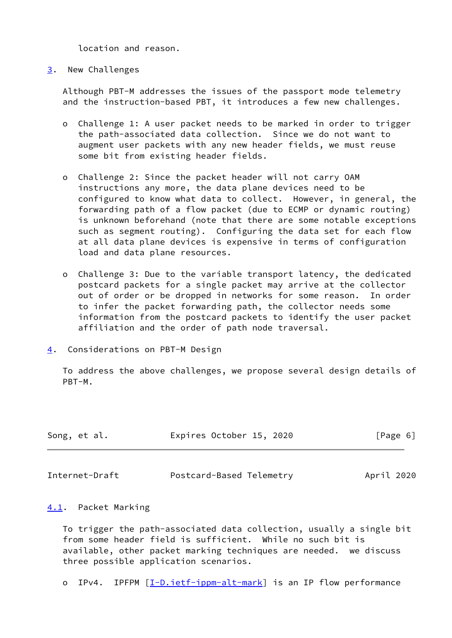location and reason.

## <span id="page-6-0"></span>[3](#page-6-0). New Challenges

 Although PBT-M addresses the issues of the passport mode telemetry and the instruction-based PBT, it introduces a few new challenges.

- o Challenge 1: A user packet needs to be marked in order to trigger the path-associated data collection. Since we do not want to augment user packets with any new header fields, we must reuse some bit from existing header fields.
- o Challenge 2: Since the packet header will not carry OAM instructions any more, the data plane devices need to be configured to know what data to collect. However, in general, the forwarding path of a flow packet (due to ECMP or dynamic routing) is unknown beforehand (note that there are some notable exceptions such as segment routing). Configuring the data set for each flow at all data plane devices is expensive in terms of configuration load and data plane resources.
- o Challenge 3: Due to the variable transport latency, the dedicated postcard packets for a single packet may arrive at the collector out of order or be dropped in networks for some reason. In order to infer the packet forwarding path, the collector needs some information from the postcard packets to identify the user packet affiliation and the order of path node traversal.
- <span id="page-6-1"></span>[4](#page-6-1). Considerations on PBT-M Design

 To address the above challenges, we propose several design details of PBT-M.

| Song, et al. | Expires October 15, 2020 | [Page 6] |
|--------------|--------------------------|----------|
|              |                          |          |

<span id="page-6-3"></span>Internet-Draft Postcard-Based Telemetry April 2020

## <span id="page-6-2"></span>[4.1](#page-6-2). Packet Marking

 To trigger the path-associated data collection, usually a single bit from some header field is sufficient. While no such bit is available, other packet marking techniques are needed. we discuss three possible application scenarios.

o IPv4. IPFPM [\[I-D.ietf-ippm-alt-mark](#page-10-4)] is an IP flow performance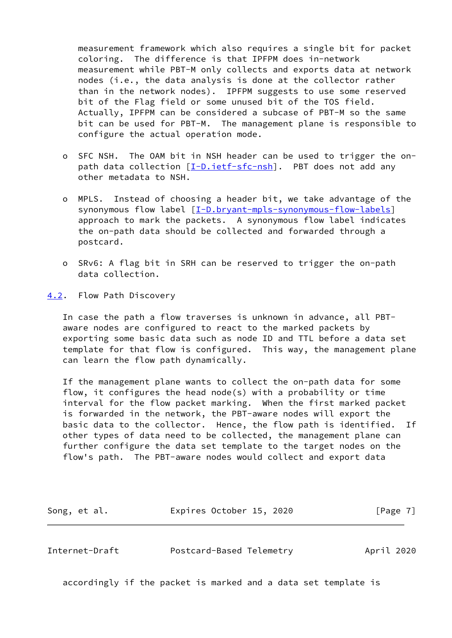measurement framework which also requires a single bit for packet coloring. The difference is that IPFPM does in-network measurement while PBT-M only collects and exports data at network nodes (i.e., the data analysis is done at the collector rather than in the network nodes). IPFPM suggests to use some reserved bit of the Flag field or some unused bit of the TOS field. Actually, IPFPM can be considered a subcase of PBT-M so the same bit can be used for PBT-M. The management plane is responsible to configure the actual operation mode.

- o SFC NSH. The OAM bit in NSH header can be used to trigger the on- path data collection [\[I-D.ietf-sfc-nsh](#page-10-5)]. PBT does not add any other metadata to NSH.
- o MPLS. Instead of choosing a header bit, we take advantage of the synonymous flow label [\[I-D.bryant-mpls-synonymous-flow-labels](#page-10-6)] approach to mark the packets. A synonymous flow label indicates the on-path data should be collected and forwarded through a postcard.
- o SRv6: A flag bit in SRH can be reserved to trigger the on-path data collection.
- <span id="page-7-0"></span>[4.2](#page-7-0). Flow Path Discovery

 In case the path a flow traverses is unknown in advance, all PBT aware nodes are configured to react to the marked packets by exporting some basic data such as node ID and TTL before a data set template for that flow is configured. This way, the management plane can learn the flow path dynamically.

 If the management plane wants to collect the on-path data for some flow, it configures the head node(s) with a probability or time interval for the flow packet marking. When the first marked packet is forwarded in the network, the PBT-aware nodes will export the basic data to the collector. Hence, the flow path is identified. If other types of data need to be collected, the management plane can further configure the data set template to the target nodes on the flow's path. The PBT-aware nodes would collect and export data

Song, et al. **Expires October 15, 2020** [Page 7]

<span id="page-7-1"></span>Internet-Draft Postcard-Based Telemetry April 2020

accordingly if the packet is marked and a data set template is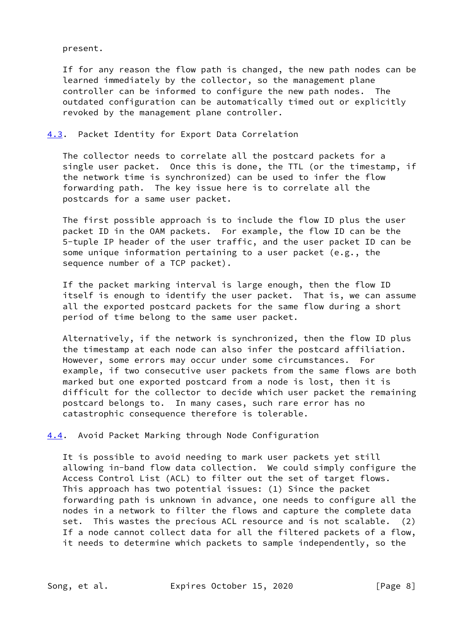present.

 If for any reason the flow path is changed, the new path nodes can be learned immediately by the collector, so the management plane controller can be informed to configure the new path nodes. The outdated configuration can be automatically timed out or explicitly revoked by the management plane controller.

# <span id="page-8-0"></span>[4.3](#page-8-0). Packet Identity for Export Data Correlation

 The collector needs to correlate all the postcard packets for a single user packet. Once this is done, the TTL (or the timestamp, if the network time is synchronized) can be used to infer the flow forwarding path. The key issue here is to correlate all the postcards for a same user packet.

 The first possible approach is to include the flow ID plus the user packet ID in the OAM packets. For example, the flow ID can be the 5-tuple IP header of the user traffic, and the user packet ID can be some unique information pertaining to a user packet (e.g., the sequence number of a TCP packet).

 If the packet marking interval is large enough, then the flow ID itself is enough to identify the user packet. That is, we can assume all the exported postcard packets for the same flow during a short period of time belong to the same user packet.

 Alternatively, if the network is synchronized, then the flow ID plus the timestamp at each node can also infer the postcard affiliation. However, some errors may occur under some circumstances. For example, if two consecutive user packets from the same flows are both marked but one exported postcard from a node is lost, then it is difficult for the collector to decide which user packet the remaining postcard belongs to. In many cases, such rare error has no catastrophic consequence therefore is tolerable.

<span id="page-8-1"></span>[4.4](#page-8-1). Avoid Packet Marking through Node Configuration

 It is possible to avoid needing to mark user packets yet still allowing in-band flow data collection. We could simply configure the Access Control List (ACL) to filter out the set of target flows. This approach has two potential issues: (1) Since the packet forwarding path is unknown in advance, one needs to configure all the nodes in a network to filter the flows and capture the complete data set. This wastes the precious ACL resource and is not scalable. (2) If a node cannot collect data for all the filtered packets of a flow, it needs to determine which packets to sample independently, so the

Song, et al. **Expires October 15, 2020** [Page 8]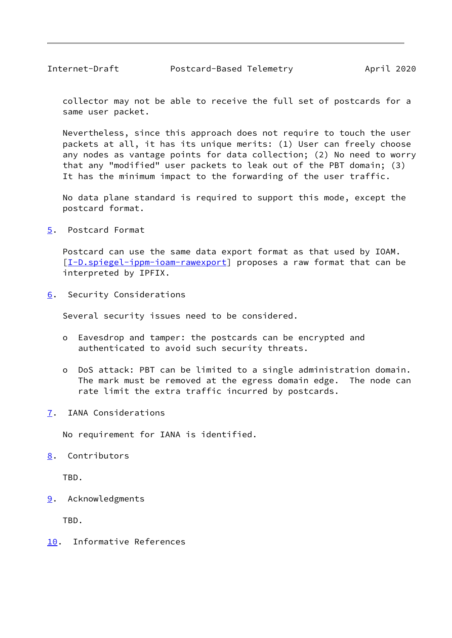<span id="page-9-1"></span> collector may not be able to receive the full set of postcards for a same user packet.

 Nevertheless, since this approach does not require to touch the user packets at all, it has its unique merits: (1) User can freely choose any nodes as vantage points for data collection; (2) No need to worry that any "modified" user packets to leak out of the PBT domain; (3) It has the minimum impact to the forwarding of the user traffic.

 No data plane standard is required to support this mode, except the postcard format.

<span id="page-9-0"></span>[5](#page-9-0). Postcard Format

 Postcard can use the same data export format as that used by IOAM. [\[I-D.spiegel-ippm-ioam-rawexport](#page-11-1)] proposes a raw format that can be interpreted by IPFIX.

<span id="page-9-2"></span>[6](#page-9-2). Security Considerations

Several security issues need to be considered.

- o Eavesdrop and tamper: the postcards can be encrypted and authenticated to avoid such security threats.
- o DoS attack: PBT can be limited to a single administration domain. The mark must be removed at the egress domain edge. The node can rate limit the extra traffic incurred by postcards.
- <span id="page-9-3"></span>[7](#page-9-3). IANA Considerations

No requirement for IANA is identified.

<span id="page-9-4"></span>[8](#page-9-4). Contributors

TBD.

<span id="page-9-5"></span>[9](#page-9-5). Acknowledgments

TBD.

<span id="page-9-6"></span>[10.](#page-9-6) Informative References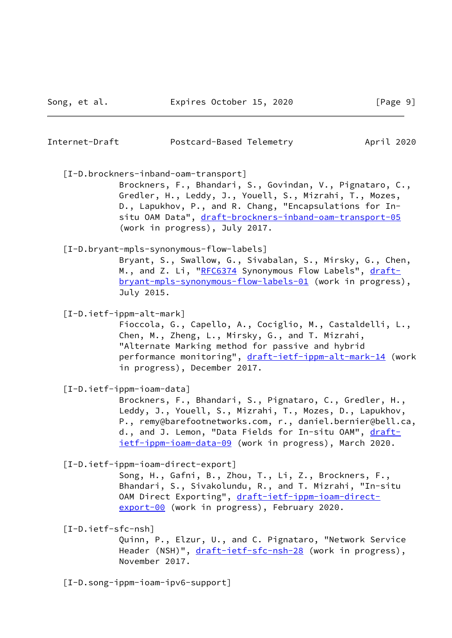April 2020

| Internet-Draft | Postcard-Based Telemetry |
|----------------|--------------------------|
|                |                          |

<span id="page-10-2"></span>[I-D.brockners-inband-oam-transport]

 Brockners, F., Bhandari, S., Govindan, V., Pignataro, C., Gredler, H., Leddy, J., Youell, S., Mizrahi, T., Mozes, D., Lapukhov, P., and R. Chang, "Encapsulations for In situ OAM Data", [draft-brockners-inband-oam-transport-05](https://datatracker.ietf.org/doc/pdf/draft-brockners-inband-oam-transport-05) (work in progress), July 2017.

## <span id="page-10-6"></span>[I-D.bryant-mpls-synonymous-flow-labels]

 Bryant, S., Swallow, G., Sivabalan, S., Mirsky, G., Chen, M., and Z. Li, "[RFC6374](https://datatracker.ietf.org/doc/pdf/rfc6374) Synonymous Flow Labels", [draft](https://datatracker.ietf.org/doc/pdf/draft-bryant-mpls-synonymous-flow-labels-01) [bryant-mpls-synonymous-flow-labels-01](https://datatracker.ietf.org/doc/pdf/draft-bryant-mpls-synonymous-flow-labels-01) (work in progress), July 2015.

<span id="page-10-4"></span>[I-D.ietf-ippm-alt-mark]

 Fioccola, G., Capello, A., Cociglio, M., Castaldelli, L., Chen, M., Zheng, L., Mirsky, G., and T. Mizrahi, "Alternate Marking method for passive and hybrid performance monitoring", [draft-ietf-ippm-alt-mark-14](https://datatracker.ietf.org/doc/pdf/draft-ietf-ippm-alt-mark-14) (work in progress), December 2017.

<span id="page-10-1"></span>[I-D.ietf-ippm-ioam-data]

 Brockners, F., Bhandari, S., Pignataro, C., Gredler, H., Leddy, J., Youell, S., Mizrahi, T., Mozes, D., Lapukhov, P., remy@barefootnetworks.com, r., daniel.bernier@bell.ca, d., and J. Lemon, "Data Fields for In-situ OAM", [draft](https://datatracker.ietf.org/doc/pdf/draft-ietf-ippm-ioam-data-09) [ietf-ippm-ioam-data-09](https://datatracker.ietf.org/doc/pdf/draft-ietf-ippm-ioam-data-09) (work in progress), March 2020.

<span id="page-10-0"></span>[I-D.ietf-ippm-ioam-direct-export]

 Song, H., Gafni, B., Zhou, T., Li, Z., Brockners, F., Bhandari, S., Sivakolundu, R., and T. Mizrahi, "In-situ OAM Direct Exporting", [draft-ietf-ippm-ioam-direct](https://datatracker.ietf.org/doc/pdf/draft-ietf-ippm-ioam-direct-export-00) [export-00](https://datatracker.ietf.org/doc/pdf/draft-ietf-ippm-ioam-direct-export-00) (work in progress), February 2020.

<span id="page-10-5"></span>[I-D.ietf-sfc-nsh]

 Quinn, P., Elzur, U., and C. Pignataro, "Network Service Header (NSH)", [draft-ietf-sfc-nsh-28](https://datatracker.ietf.org/doc/pdf/draft-ietf-sfc-nsh-28) (work in progress), November 2017.

<span id="page-10-3"></span>[I-D.song-ippm-ioam-ipv6-support]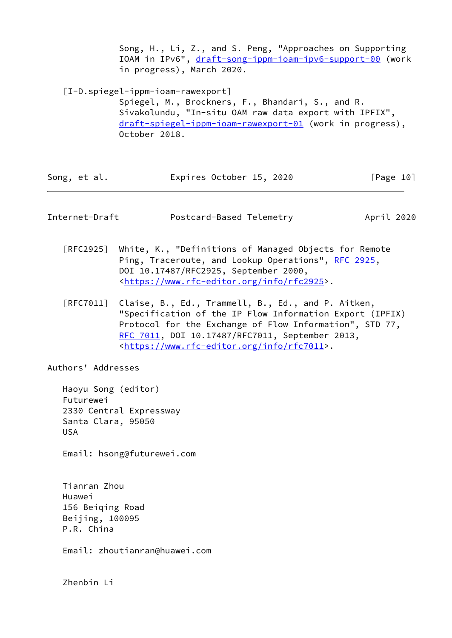Song, H., Li, Z., and S. Peng, "Approaches on Supporting IOAM in IPv6", [draft-song-ippm-ioam-ipv6-support-00](https://datatracker.ietf.org/doc/pdf/draft-song-ippm-ioam-ipv6-support-00) (work in progress), March 2020.

<span id="page-11-1"></span> [I-D.spiegel-ippm-ioam-rawexport] Spiegel, M., Brockners, F., Bhandari, S., and R. Sivakolundu, "In-situ OAM raw data export with IPFIX", [draft-spiegel-ippm-ioam-rawexport-01](https://datatracker.ietf.org/doc/pdf/draft-spiegel-ippm-ioam-rawexport-01) (work in progress), October 2018.

| Song, et al. | Expires October 15, 2020 | [Page 10] |
|--------------|--------------------------|-----------|
|              |                          |           |

<span id="page-11-0"></span>

| Internet-Draft | Postcard-Based Telemetry | April 2020 |  |
|----------------|--------------------------|------------|--|
|                |                          |            |  |

- [RFC2925] White, K., "Definitions of Managed Objects for Remote Ping, Traceroute, and Lookup Operations", [RFC 2925](https://datatracker.ietf.org/doc/pdf/rfc2925), DOI 10.17487/RFC2925, September 2000, <[https://www.rfc-editor.org/info/rfc2925>](https://www.rfc-editor.org/info/rfc2925).
- [RFC7011] Claise, B., Ed., Trammell, B., Ed., and P. Aitken, "Specification of the IP Flow Information Export (IPFIX) Protocol for the Exchange of Flow Information", STD 77, [RFC 7011,](https://datatracker.ietf.org/doc/pdf/rfc7011) DOI 10.17487/RFC7011, September 2013, <[https://www.rfc-editor.org/info/rfc7011>](https://www.rfc-editor.org/info/rfc7011).

Authors' Addresses

 Haoyu Song (editor) Futurewei 2330 Central Expressway Santa Clara, 95050 USA

Email: hsong@futurewei.com

 Tianran Zhou Huawei 156 Beiqing Road Beijing, 100095 P.R. China

Email: zhoutianran@huawei.com

Zhenbin Li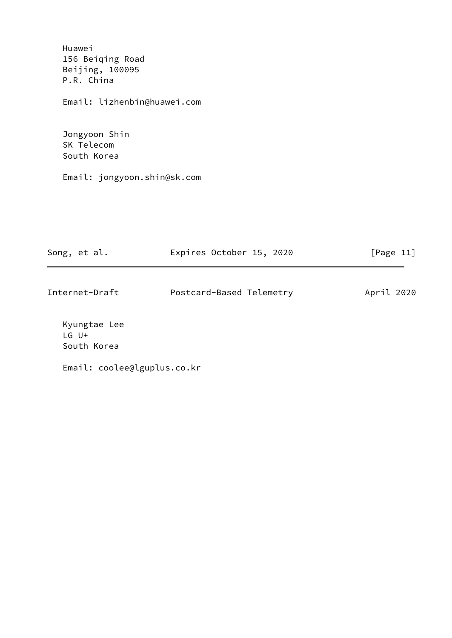Huawei 156 Beiqing Road Beijing, 100095 P.R. China

Email: lizhenbin@huawei.com

 Jongyoon Shin SK Telecom South Korea

Email: jongyoon.shin@sk.com

| Song, et al.   | Expires October 15, 2020 | [Page $11$ ] |
|----------------|--------------------------|--------------|
| Internet-Draft | Postcard-Based Telemetry | April 2020   |

 Kyungtae Lee LG U+ South Korea

Email: coolee@lguplus.co.kr